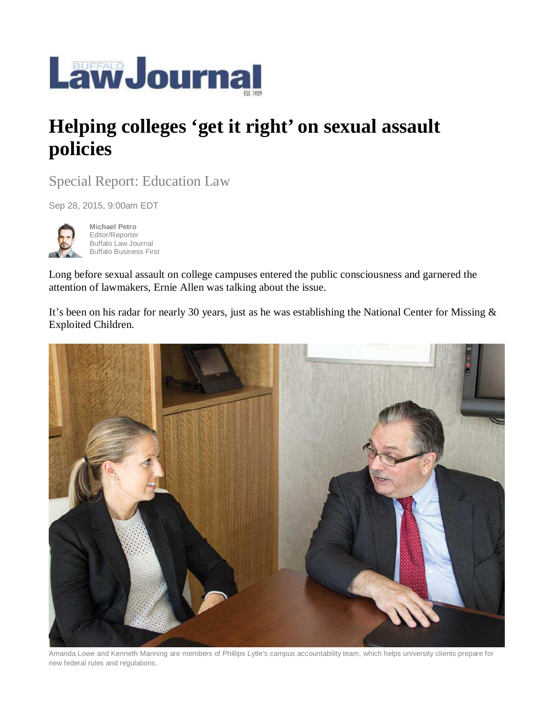

## **Helping colleges 'get it right' on sexual assault policies**

Special Report: Education Law

Sep 28, 2015, 9:00am EDT



**Michael Petro**  Editor/Reporter Buffalo Law Journal Buffalo Business First

Long before sexual assault on college campuses entered the public consciousness and garnered the attention of lawmakers, Ernie Allen was talking about the issue.

It's been on his radar for nearly 30 years, just as he was establishing the National Center for Missing & Exploited Children.



Amanda Lowe and Kenneth Manning are members of Phillips Lytle's campus accountability team, which helps university clients prepare for new federal rules and regulations.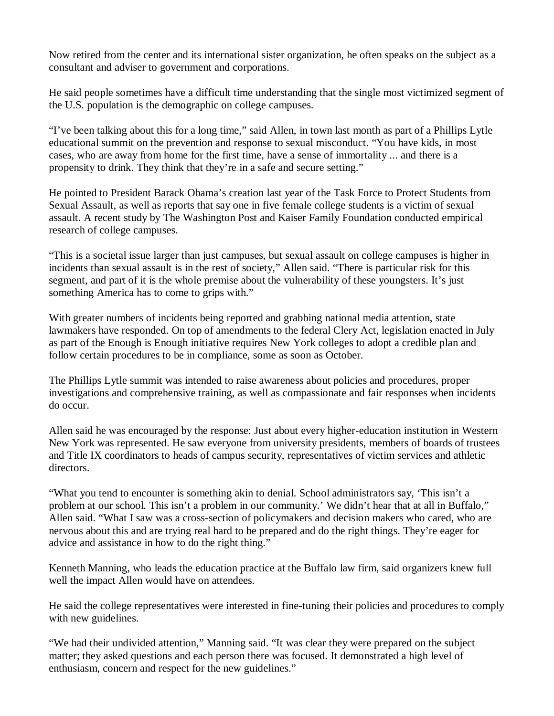Now retired from the center and its international sister organization, he often speaks on the subject as a consultant and adviser to government and corporations.

He said people sometimes have a difficult time understanding that the single most victimized segment of the U.S. population is the demographic on college campuses.

"I've been talking about this for a long time," said Allen, in town last month as part of a Phillips Lytle educational summit on the prevention and response to sexual misconduct. "You have kids, in most cases, who are away from home for the first time, have a sense of immortality ... and there is a propensity to drink. They think that they're in a safe and secure setting."

He pointed to President Barack Obama's creation last year of the Task Force to Protect Students from Sexual Assault, as well as reports that say one in five female college students is a victim of sexual assault. A recent study by The Washington Post and Kaiser Family Foundation conducted empirical research of college campuses.

"This is a societal issue larger than just campuses, but sexual assault on college campuses is higher in incidents than sexual assault is in the rest of society," Allen said. "There is particular risk for this segment, and part of it is the whole premise about the vulnerability of these youngsters. It's just something America has to come to grips with."

With greater numbers of incidents being reported and grabbing national media attention, state lawmakers have responded. On top of amendments to the federal Clery Act, legislation enacted in July as part of the Enough is Enough initiative requires New York colleges to adopt a credible plan and follow certain procedures to be in compliance, some as soon as October.

The Phillips Lytle summit was intended to raise awareness about policies and procedures, proper investigations and comprehensive training, as well as compassionate and fair responses when incidents do occur.

Allen said he was encouraged by the response: Just about every higher-education institution in Western New York was represented. He saw everyone from university presidents, members of boards of trustees and Title IX coordinators to heads of campus security, representatives of victim services and athletic directors.

"What you tend to encounter is something akin to denial. School administrators say, 'This isn't a problem at our school. This isn't a problem in our community.' We didn't hear that at all in Buffalo," Allen said. "What I saw was a cross-section of policymakers and decision makers who cared, who are nervous about this and are trying real hard to be prepared and do the right things. They're eager for advice and assistance in how to do the right thing."

Kenneth Manning, who leads the education practice at the Buffalo law firm, said organizers knew full well the impact Allen would have on attendees.

He said the college representatives were interested in fine-tuning their policies and procedures to comply with new guidelines.

"We had their undivided attention," Manning said. "It was clear they were prepared on the subject matter; they asked questions and each person there was focused. It demonstrated a high level of enthusiasm, concern and respect for the new guidelines."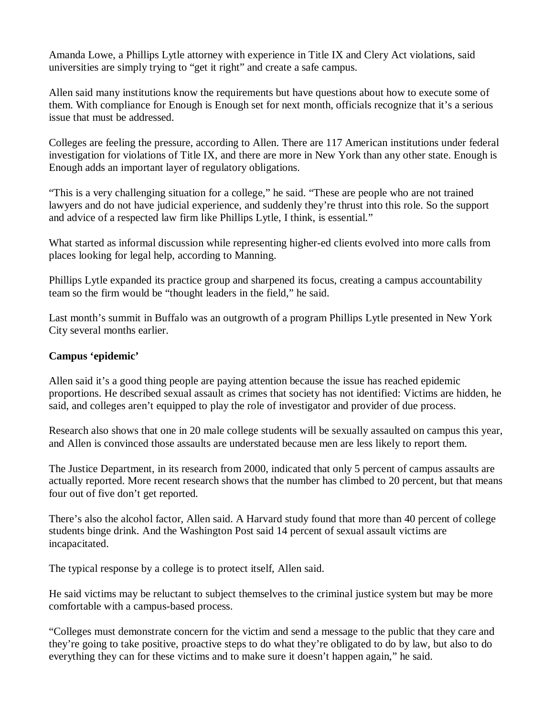Amanda Lowe, a Phillips Lytle attorney with experience in Title IX and Clery Act violations, said universities are simply trying to "get it right" and create a safe campus.

Allen said many institutions know the requirements but have questions about how to execute some of them. With compliance for Enough is Enough set for next month, officials recognize that it's a serious issue that must be addressed.

Colleges are feeling the pressure, according to Allen. There are 117 American institutions under federal investigation for violations of Title IX, and there are more in New York than any other state. Enough is Enough adds an important layer of regulatory obligations.

"This is a very challenging situation for a college," he said. "These are people who are not trained lawyers and do not have judicial experience, and suddenly they're thrust into this role. So the support and advice of a respected law firm like Phillips Lytle, I think, is essential."

What started as informal discussion while representing higher-ed clients evolved into more calls from places looking for legal help, according to Manning.

Phillips Lytle expanded its practice group and sharpened its focus, creating a campus accountability team so the firm would be "thought leaders in the field," he said.

Last month's summit in Buffalo was an outgrowth of a program Phillips Lytle presented in New York City several months earlier.

## **Campus 'epidemic'**

Allen said it's a good thing people are paying attention because the issue has reached epidemic proportions. He described sexual assault as crimes that society has not identified: Victims are hidden, he said, and colleges aren't equipped to play the role of investigator and provider of due process.

Research also shows that one in 20 male college students will be sexually assaulted on campus this year, and Allen is convinced those assaults are understated because men are less likely to report them.

The Justice Department, in its research from 2000, indicated that only 5 percent of campus assaults are actually reported. More recent research shows that the number has climbed to 20 percent, but that means four out of five don't get reported.

There's also the alcohol factor, Allen said. A Harvard study found that more than 40 percent of college students binge drink. And the Washington Post said 14 percent of sexual assault victims are incapacitated.

The typical response by a college is to protect itself, Allen said.

He said victims may be reluctant to subject themselves to the criminal justice system but may be more comfortable with a campus-based process.

"Colleges must demonstrate concern for the victim and send a message to the public that they care and they're going to take positive, proactive steps to do what they're obligated to do by law, but also to do everything they can for these victims and to make sure it doesn't happen again," he said.